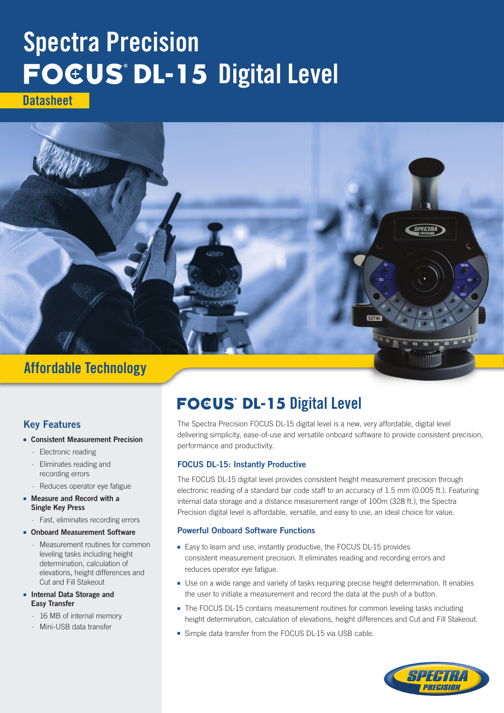# Spectra Precision **FOCUS DL-15 Digital Level**

**Datasheet** 



### Key Features

#### ■ Consistent Measurement Precision

- Electronic reading
- Eliminates reading and recording errors
- Reduces operator eye fatigue
- Measure and Record with a Single Key Press
	- Fast, eliminates recording errors

#### **Onboard Measurement Software**

- Measurement routines for common leveling tasks including height determination, calculation of elevations, height differences and Cut and Fill Stakeout
- Internal Data Storage and Easy Transfer
	- 16 MB of internal memory
	- Mini-USB data transfer

## **FOCUS DL-15 Digital Level**

The Spectra Precision FOCUS DL-15 digital level is a new, very affordable, digital level delivering simplicity, ease-of-use and versatile onboard software to provide consistent precision, performance and productivity.

#### FOCUS DL-15: Instantly Productive

The FOCUS DL-15 digital level provides consistent height measurement precision through electronic reading of a standard bar code staff to an accuracy of 1.5 mm (0.005 ft.). Featuring internal data storage and a distance measurement range of 100m (328 ft.), the Spectra Precision digital level is affordable, versatile, and easy to use, an ideal choice for value.

#### Powerful Onboard Software Functions

- Easy to learn and use, instantly productive, the FOCUS DL-15 provides consistent measurement precision. It eliminates reading and recording errors and reduces operator eye fatigue.
- Use on a wide range and variety of tasks requiring precise height determination. It enables the user to initiate a measurement and record the data at the push of a button.
- The FOCUS DL-15 contains measurement routines for common leveling tasks including height determination, calculation of elevations, height differences and Cut and Fill Stakeout.
- Simple data transfer from the FOCUS DL-15 via USB cable.